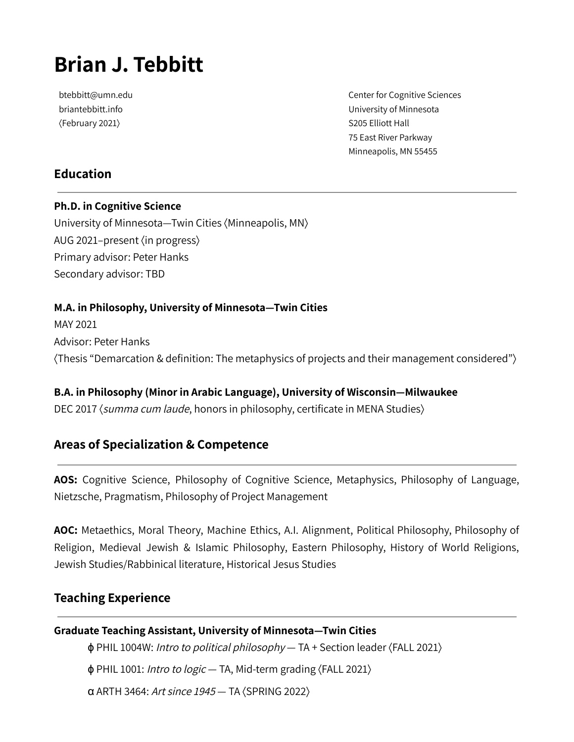# **Brian J. Tebbitt**

btebbitt@umn.edu briantebbitt.info ⟨February 2021⟩

Center for Cognitive Sciences University of Minnesota S205 Elliott Hall 75 East River Parkway Minneapolis, MN 55455

## **Education**

**Ph.D. in Cognitive Science** University of Minnesota—Twin Cities ⟨Minneapolis, MN⟩ AUG 2021–present ⟨in progress⟩ Primary advisor: Peter Hanks Secondary advisor: TBD

#### **M.A. in Philosophy, University of Minnesota—Twin Cities**

MAY 2021 Advisor: Peter Hanks ⟨Thesis "Demarcation & definition: The metaphysics of projects and their management considered"⟩

**B.A. in Philosophy (Minor in Arabic Language), University of Wisconsin—Milwaukee** DEC 2017 (summa cum laude, honors in philosophy, certificate in MENA Studies)

### **Areas of Specialization & Competence**

**AOS:** Cognitive Science, Philosophy of Cognitive Science, Metaphysics, Philosophy of Language, Nietzsche, Pragmatism, Philosophy of Project Management

**AOC:** Metaethics, Moral Theory, Machine Ethics, A.I. Alignment, Political Philosophy, Philosophy of Religion, Medieval Jewish & Islamic Philosophy, Eastern Philosophy, History of World Religions, Jewish Studies/Rabbinical literature, Historical Jesus Studies

#### **Teaching Experience**

#### **Graduate Teaching Assistant, University of Minnesota—Twin Cities**

ϕ PHIL 1004W: Intro to political philosophy — TA + Section leader ⟨FALL 2021⟩ ϕ PHIL 1001: Intro to logic — TA, Mid-term grading ⟨FALL 2021⟩

α ARTH 3464: Art since <sup>1945</sup> — TA ⟨SPRING 2022⟩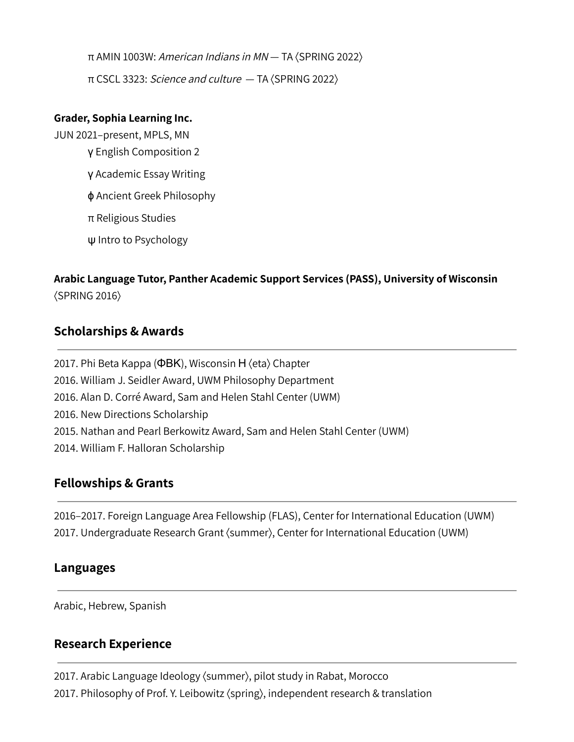π AMIN 1003W: American Indians in MN — TA ⟨SPRING 2022⟩ π CSCL 3323: Science and culture — TA ⟨SPRING 2022⟩

#### **Grader, Sophia Learning Inc.**

JUN 2021–present, MPLS, MN γ English Composition 2 γ Academic Essay Writing ϕ Ancient Greek Philosophy π Religious Studies ψ Intro to Psychology

# **Arabic Language Tutor, Panther Academic Support Services (PASS), University of Wisconsin** ⟨SPRING 2016⟩

### **Scholarships & Awards**

2017. Phi Beta Kappa (ΦΒΚ), Wisconsin Η ⟨eta⟩ Chapter 2016. William J. Seidler Award, UWM Philosophy Department 2016. Alan D. Corré Award, Sam and Helen Stahl Center (UWM) 2016. New Directions Scholarship 2015. Nathan and Pearl Berkowitz Award, Sam and Helen Stahl Center (UWM) 2014. William F. Halloran Scholarship

### **Fellowships & Grants**

2016–2017. Foreign Language Area Fellowship (FLAS), Center for International Education (UWM) 2017. Undergraduate Research Grant ⟨summer⟩, Center for International Education (UWM)

### **Languages**

Arabic, Hebrew, Spanish

### **Research Experience**

2017. Arabic Language Ideology ⟨summer⟩, pilot study in Rabat, Morocco 2017. Philosophy of Prof. Y. Leibowitz ⟨spring⟩, independent research & translation